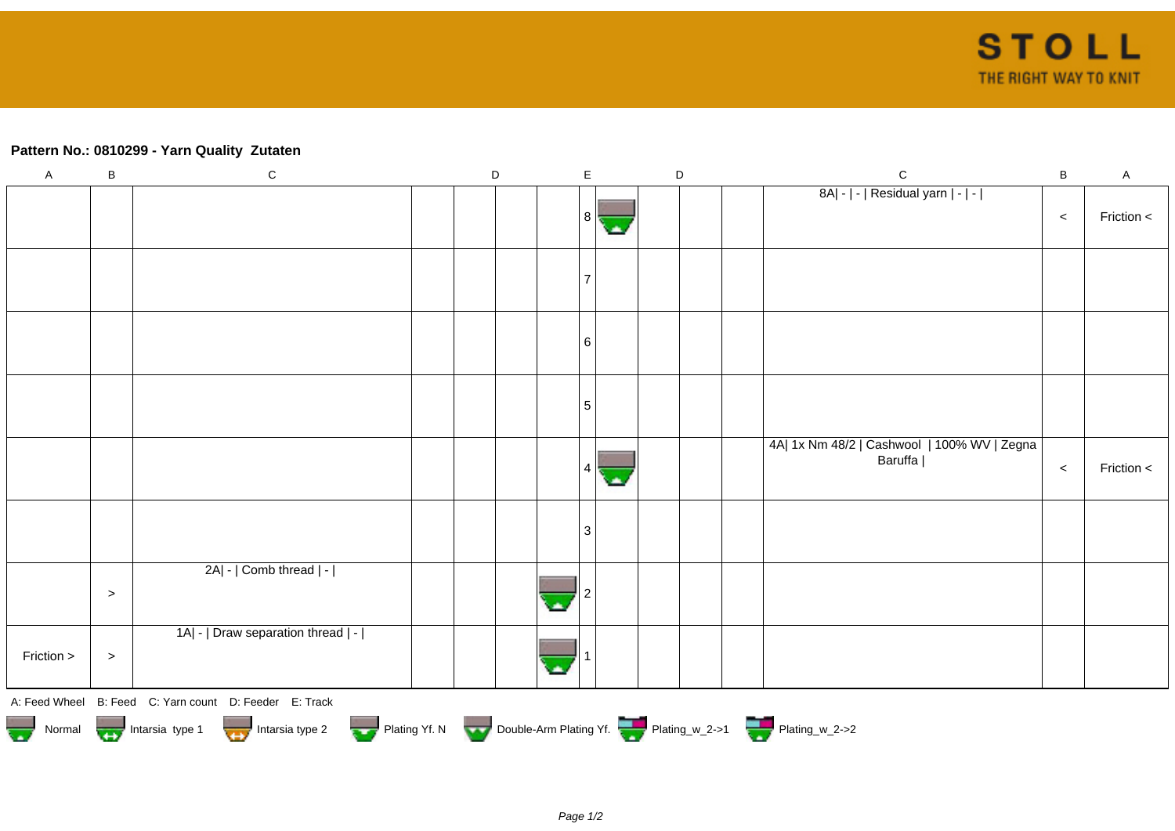## **Pattern No.: 0810299 - Yarn Quality Zutaten**

| $\mathsf A$                                                                                           | $\sf B$ | ${\bf C}$                                              |  | D |  | $\mathsf E$ |  |  | $\mathsf D$ |  | $\mathsf{C}$                                           | $\, {\bf B}$ | $\mathsf A$ |
|-------------------------------------------------------------------------------------------------------|---------|--------------------------------------------------------|--|---|--|-------------|--|--|-------------|--|--------------------------------------------------------|--------------|-------------|
|                                                                                                       |         |                                                        |  |   |  | 8           |  |  |             |  | 8A  -   -   Residual yarn   -   -                      | $\,<$        | Friction <  |
|                                                                                                       |         |                                                        |  |   |  |             |  |  |             |  |                                                        |              |             |
|                                                                                                       |         |                                                        |  |   |  | 6           |  |  |             |  |                                                        |              |             |
|                                                                                                       |         |                                                        |  |   |  | 5           |  |  |             |  |                                                        |              |             |
|                                                                                                       |         |                                                        |  |   |  |             |  |  |             |  | 4A  1x Nm 48/2   Cashwool   100% WV   Zegna<br>Baruffa | $\,<$        | Friction <  |
|                                                                                                       |         |                                                        |  |   |  | 3           |  |  |             |  |                                                        |              |             |
|                                                                                                       | $\, >$  | 2A  -   Comb thread   -                                |  |   |  |             |  |  |             |  |                                                        |              |             |
| Friction >                                                                                            | $\, >$  | 1A  -   Draw separation thread   -                     |  |   |  |             |  |  |             |  |                                                        |              |             |
|                                                                                                       |         | A: Feed Wheel B: Feed C: Yarn count D: Feeder E: Track |  |   |  |             |  |  |             |  |                                                        |              |             |
| Normal Montain Strategy Intarsia type 2 Plating Yf. N Double-Arm Plating Yf. N Double-Arm Plating Yf. |         |                                                        |  |   |  |             |  |  |             |  |                                                        |              |             |